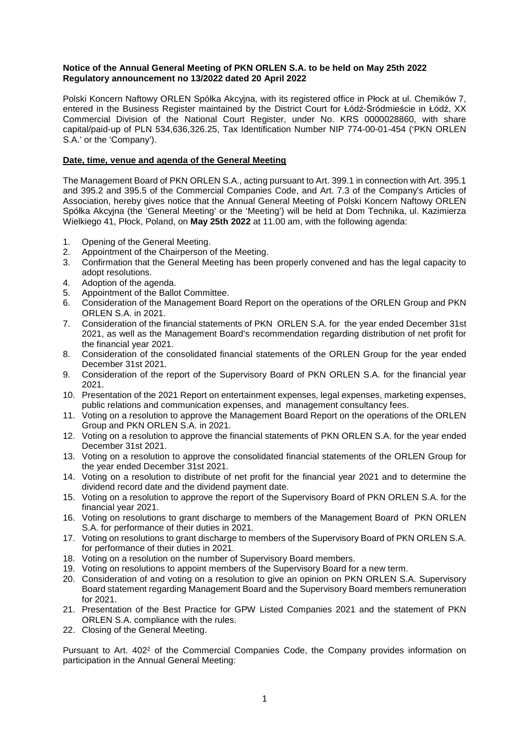## **Notice of the Annual General Meeting of PKN ORLEN S.A. to be held on May 25th 2022 Regulatory announcement no 13/2022 dated 20 April 2022**

Polski Koncern Naftowy ORLEN Spółka Akcyjna, with its registered office in Płock at ul. Chemików 7, entered in the Business Register maintained by the District Court for Łódź-Śródmieście in Łódź, XX Commercial Division of the National Court Register, under No. KRS 0000028860, with share capital/paid-up of PLN 534,636,326.25, Tax Identification Number NIP 774-00-01-454 ('PKN ORLEN S.A.' or the 'Company').

# **Date, time, venue and agenda of the General Meeting**

The Management Board of PKN ORLEN S.A., acting pursuant to Art. 399.1 in connection with Art. 395.1 and 395.2 and 395.5 of the Commercial Companies Code, and Art. 7.3 of the Company's Articles of Association, hereby gives notice that the Annual General Meeting of Polski Koncern Naftowy ORLEN Spółka Akcyjna (the 'General Meeting' or the 'Meeting') will be held at Dom Technika, ul. Kazimierza Wielkiego 41, Płock, Poland, on **May 25th 2022** at 11.00 am, with the following agenda:

- 1. Opening of the General Meeting.
- 2. Appointment of the Chairperson of the Meeting.
- 3. Confirmation that the General Meeting has been properly convened and has the legal capacity to adopt resolutions.
- 4. Adoption of the agenda.
- 5. Appointment of the Ballot Committee.
- 6. Consideration of the Management Board Report on the operations of the ORLEN Group and PKN ORLEN S.A. in 2021.
- 7. Consideration of the financial statements of PKN ORLEN S.A. for the year ended December 31st 2021, as well as the Management Board's recommendation regarding distribution of net profit for the financial year 2021.
- 8. Consideration of the consolidated financial statements of the ORLEN Group for the year ended December 31st 2021.
- 9. Consideration of the report of the Supervisory Board of PKN ORLEN S.A. for the financial year 2021.
- 10. Presentation of the 2021 Report on entertainment expenses, legal expenses, marketing expenses, public relations and communication expenses, and management consultancy fees.
- 11. Voting on a resolution to approve the Management Board Report on the operations of the ORLEN Group and PKN ORLEN S.A. in 2021.
- 12. Voting on a resolution to approve the financial statements of PKN ORLEN S.A. for the year ended December 31st 2021.
- 13. Voting on a resolution to approve the consolidated financial statements of the ORLEN Group for the year ended December 31st 2021.
- 14. Voting on a resolution to distribute of net profit for the financial year 2021 and to determine the dividend record date and the dividend payment date.
- 15. Voting on a resolution to approve the report of the Supervisory Board of PKN ORLEN S.A. for the financial year 2021.
- 16. Voting on resolutions to grant discharge to members of the Management Board of PKN ORLEN S.A. for performance of their duties in 2021.
- 17. Voting on resolutions to grant discharge to members of the Supervisory Board of PKN ORLEN S.A. for performance of their duties in 2021.
- 18. Voting on a resolution on the number of Supervisory Board members.
- 19. Voting on resolutions to appoint members of the Supervisory Board for a new term.
- 20. Consideration of and voting on a resolution to give an opinion on PKN ORLEN S.A. Supervisory Board statement regarding Management Board and the Supervisory Board members remuneration for 2021.
- 21. Presentation of the Best Practice for GPW Listed Companies 2021 and the statement of PKN ORLEN S.A. compliance with the rules.
- 22. Closing of the General Meeting.

Pursuant to Art. 402<sup>2</sup> of the Commercial Companies Code, the Company provides information on participation in the Annual General Meeting: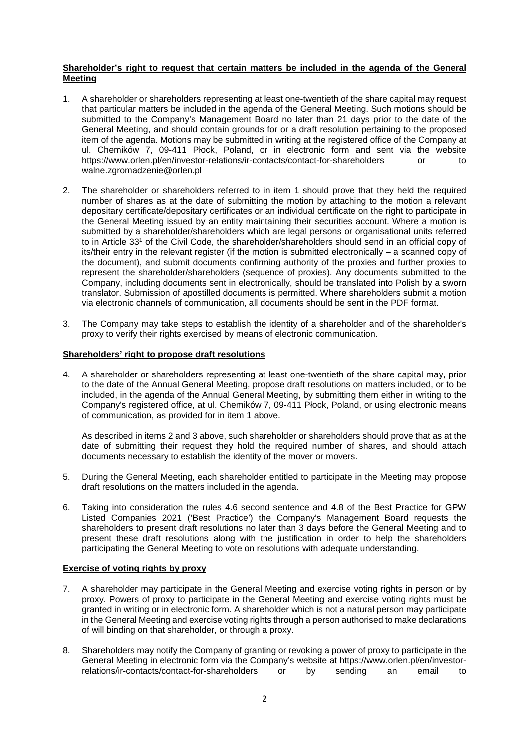## **Shareholder's right to request that certain matters be included in the agenda of the General Meeting**

- 1. A shareholder or shareholders representing at least one-twentieth of the share capital may request that particular matters be included in the agenda of the General Meeting. Such motions should be submitted to the Company's Management Board no later than 21 days prior to the date of the General Meeting, and should contain grounds for or a draft resolution pertaining to the proposed item of the agenda. Motions may be submitted in writing at the registered office of the Company at ul. Chemików 7, 09-411 Płock, Poland, or in electronic form and sent via the website https://www.orlen.pl/en/investor-relations/ir-contacts/contact-for-shareholders or to walne.zgromadzenie@orlen.pl
- 2. The shareholder or shareholders referred to in item 1 should prove that they held the required number of shares as at the date of submitting the motion by attaching to the motion a relevant depositary certificate/depositary certificates or an individual certificate on the right to participate in the General Meeting issued by an entity maintaining their securities account. Where a motion is submitted by a shareholder/shareholders which are legal persons or organisational units referred to in Article 33<sup>1</sup> of the Civil Code, the shareholder/shareholders should send in an official copy of its/their entry in the relevant register (if the motion is submitted electronically – a scanned copy of the document), and submit documents confirming authority of the proxies and further proxies to represent the shareholder/shareholders (sequence of proxies). Any documents submitted to the Company, including documents sent in electronically, should be translated into Polish by a sworn translator. Submission of apostilled documents is permitted. Where shareholders submit a motion via electronic channels of communication, all documents should be sent in the PDF format.
- 3. The Company may take steps to establish the identity of a shareholder and of the shareholder's proxy to verify their rights exercised by means of electronic communication.

## **Shareholders' right to propose draft resolutions**

4. A shareholder or shareholders representing at least one-twentieth of the share capital may, prior to the date of the Annual General Meeting, propose draft resolutions on matters included, or to be included, in the agenda of the Annual General Meeting, by submitting them either in writing to the Company's registered office, at ul. Chemików 7, 09-411 Płock, Poland, or using electronic means of communication, as provided for in item 1 above.

As described in items 2 and 3 above, such shareholder or shareholders should prove that as at the date of submitting their request they hold the required number of shares, and should attach documents necessary to establish the identity of the mover or movers.

- 5. During the General Meeting, each shareholder entitled to participate in the Meeting may propose draft resolutions on the matters included in the agenda.
- 6. Taking into consideration the rules 4.6 second sentence and 4.8 of the Best Practice for GPW Listed Companies 2021 ('Best Practice') the Company's Management Board requests the shareholders to present draft resolutions no later than 3 days before the General Meeting and to present these draft resolutions along with the justification in order to help the shareholders participating the General Meeting to vote on resolutions with adequate understanding.

## **Exercise of voting rights by proxy**

- 7. A shareholder may participate in the General Meeting and exercise voting rights in person or by proxy. Powers of proxy to participate in the General Meeting and exercise voting rights must be granted in writing or in electronic form. A shareholder which is not a natural person may participate in the General Meeting and exercise voting rights through a person authorised to make declarations of will binding on that shareholder, or through a proxy.
- 8. Shareholders may notify the Company of granting or revoking a power of proxy to participate in the General Meeting in electronic form via the Company's website at https://www.orlen.pl/en/investorrelations/ir-contacts/contact-for-shareholders or by sending an email to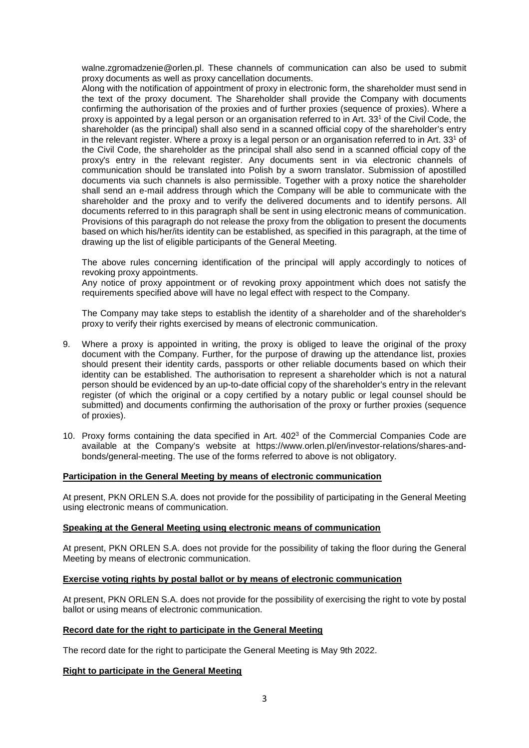walne.zgromadzenie@orlen.pl. These channels of communication can also be used to submit proxy documents as well as proxy cancellation documents.

Along with the notification of appointment of proxy in electronic form, the shareholder must send in the text of the proxy document. The Shareholder shall provide the Company with documents confirming the authorisation of the proxies and of further proxies (sequence of proxies). Where a proxy is appointed by a legal person or an organisation referred to in Art. 33<sup>1</sup> of the Civil Code, the shareholder (as the principal) shall also send in a scanned official copy of the shareholder's entry in the relevant register. Where a proxy is a legal person or an organisation referred to in Art. 33<sup>1</sup> of the Civil Code, the shareholder as the principal shall also send in a scanned official copy of the proxy's entry in the relevant register. Any documents sent in via electronic channels of communication should be translated into Polish by a sworn translator. Submission of apostilled documents via such channels is also permissible. Together with a proxy notice the shareholder shall send an e-mail address through which the Company will be able to communicate with the shareholder and the proxy and to verify the delivered documents and to identify persons. All documents referred to in this paragraph shall be sent in using electronic means of communication. Provisions of this paragraph do not release the proxy from the obligation to present the documents based on which his/her/its identity can be established, as specified in this paragraph, at the time of drawing up the list of eligible participants of the General Meeting.

The above rules concerning identification of the principal will apply accordingly to notices of revoking proxy appointments.

Any notice of proxy appointment or of revoking proxy appointment which does not satisfy the requirements specified above will have no legal effect with respect to the Company.

The Company may take steps to establish the identity of a shareholder and of the shareholder's proxy to verify their rights exercised by means of electronic communication.

- 9. Where a proxy is appointed in writing, the proxy is obliged to leave the original of the proxy document with the Company. Further, for the purpose of drawing up the attendance list, proxies should present their identity cards, passports or other reliable documents based on which their identity can be established. The authorisation to represent a shareholder which is not a natural person should be evidenced by an up-to-date official copy of the shareholder's entry in the relevant register (of which the original or a copy certified by a notary public or legal counsel should be submitted) and documents confirming the authorisation of the proxy or further proxies (sequence of proxies).
- 10. Proxy forms containing the data specified in Art. 402<sup>3</sup> of the Commercial Companies Code are available at the Company's website at https://www.orlen.pl/en/investor-relations/shares-andbonds/general-meeting. The use of the forms referred to above is not obligatory.

## **Participation in the General Meeting by means of electronic communication**

At present, PKN ORLEN S.A. does not provide for the possibility of participating in the General Meeting using electronic means of communication.

#### **Speaking at the General Meeting using electronic means of communication**

At present, PKN ORLEN S.A. does not provide for the possibility of taking the floor during the General Meeting by means of electronic communication.

# **Exercise voting rights by postal ballot or by means of electronic communication**

At present, PKN ORLEN S.A. does not provide for the possibility of exercising the right to vote by postal ballot or using means of electronic communication.

#### **Record date for the right to participate in the General Meeting**

The record date for the right to participate the General Meeting is May 9th 2022.

## **Right to participate in the General Meeting**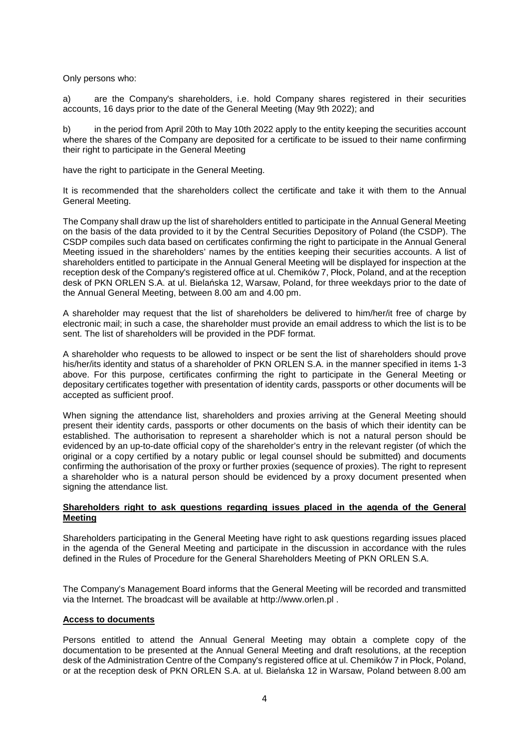Only persons who:

a) are the Company's shareholders, i.e. hold Company shares registered in their securities accounts, 16 days prior to the date of the General Meeting (May 9th 2022); and

b) in the period from April 20th to May 10th 2022 apply to the entity keeping the securities account where the shares of the Company are deposited for a certificate to be issued to their name confirming their right to participate in the General Meeting

have the right to participate in the General Meeting.

It is recommended that the shareholders collect the certificate and take it with them to the Annual General Meeting.

The Company shall draw up the list of shareholders entitled to participate in the Annual General Meeting on the basis of the data provided to it by the Central Securities Depository of Poland (the CSDP). The CSDP compiles such data based on certificates confirming the right to participate in the Annual General Meeting issued in the shareholders' names by the entities keeping their securities accounts. A list of shareholders entitled to participate in the Annual General Meeting will be displayed for inspection at the reception desk of the Company's registered office at ul. Chemików 7, Płock, Poland, and at the reception desk of PKN ORLEN S.A. at ul. Bielańska 12, Warsaw, Poland, for three weekdays prior to the date of the Annual General Meeting, between 8.00 am and 4.00 pm.

A shareholder may request that the list of shareholders be delivered to him/her/it free of charge by electronic mail; in such a case, the shareholder must provide an email address to which the list is to be sent. The list of shareholders will be provided in the PDF format.

A shareholder who requests to be allowed to inspect or be sent the list of shareholders should prove his/her/its identity and status of a shareholder of PKN ORLEN S.A. in the manner specified in items 1-3 above. For this purpose, certificates confirming the right to participate in the General Meeting or depositary certificates together with presentation of identity cards, passports or other documents will be accepted as sufficient proof.

When signing the attendance list, shareholders and proxies arriving at the General Meeting should present their identity cards, passports or other documents on the basis of which their identity can be established. The authorisation to represent a shareholder which is not a natural person should be evidenced by an up-to-date official copy of the shareholder's entry in the relevant register (of which the original or a copy certified by a notary public or legal counsel should be submitted) and documents confirming the authorisation of the proxy or further proxies (sequence of proxies). The right to represent a shareholder who is a natural person should be evidenced by a proxy document presented when signing the attendance list.

## **Shareholders right to ask questions regarding issues placed in the agenda of the General Meeting**

Shareholders participating in the General Meeting have right to ask questions regarding issues placed in the agenda of the General Meeting and participate in the discussion in accordance with the rules defined in the Rules of Procedure for the General Shareholders Meeting of PKN ORLEN S.A.

The Company's Management Board informs that the General Meeting will be recorded and transmitted via the Internet. The broadcast will be available at http://www.orlen.pl .

# **Access to documents**

Persons entitled to attend the Annual General Meeting may obtain a complete copy of the documentation to be presented at the Annual General Meeting and draft resolutions, at the reception desk of the Administration Centre of the Company's registered office at ul. Chemików 7 in Płock, Poland, or at the reception desk of PKN ORLEN S.A. at ul. Bielańska 12 in Warsaw, Poland between 8.00 am